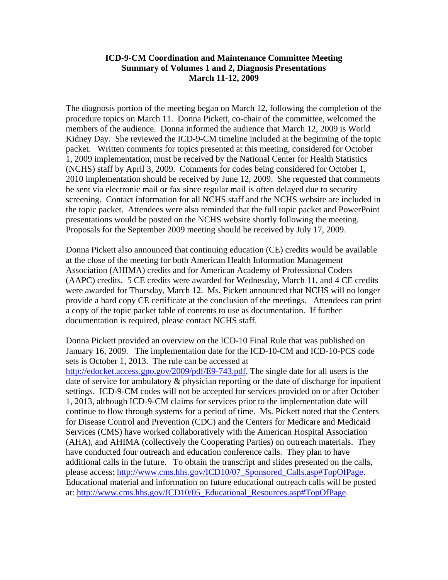## **ICD-9-CM Coordination and Maintenance Committee Meeting Summary of Volumes 1 and 2, Diagnosis Presentations March 11-12, 2009**

The diagnosis portion of the meeting began on March 12, following the completion of the procedure topics on March 11. Donna Pickett, co-chair of the committee, welcomed the members of the audience. Donna informed the audience that March 12, 2009 is World Kidney Day. She reviewed the ICD-9-CM timeline included at the beginning of the topic packet. Written comments for topics presented at this meeting, considered for October 1, 2009 implementation, must be received by the National Center for Health Statistics (NCHS) staff by April 3, 2009. Comments for codes being considered for October 1, 2010 implementation should be received by June 12, 2009. She requested that comments be sent via electronic mail or fax since regular mail is often delayed due to security screening. Contact information for all NCHS staff and the NCHS website are included in the topic packet. Attendees were also reminded that the full topic packet and PowerPoint presentations would be posted on the NCHS website shortly following the meeting. Proposals for the September 2009 meeting should be received by July 17, 2009.

Donna Pickett also announced that continuing education (CE) credits would be available at the close of the meeting for both American Health Information Management Association (AHIMA) credits and for American Academy of Professional Coders (AAPC) credits. 5 CE credits were awarded for Wednesday, March 11, and 4 CE credits were awarded for Thursday, March 12. Ms. Pickett announced that NCHS will no longer provide a hard copy CE certificate at the conclusion of the meetings. Attendees can print a copy of the topic packet table of contents to use as documentation. If further documentation is required, please contact NCHS staff.

Donna Pickett provided an overview on the ICD-10 Final Rule that was published on January 16, 2009. The implementation date for the ICD-10-CM and ICD-10-PCS code sets is October 1, 2013. The rule can be accessed at

[http://edocket.access.gpo.gov/2009/pdf/E9-743.pdf.](http://edocket.access.gpo.gov/2009/pdf/E9-743.pdf) The single date for all users is the date of service for ambulatory & physician reporting or the date of discharge for inpatient settings. ICD-9-CM codes will not be accepted for services provided on or after October 1, 2013, although ICD-9-CM claims for services prior to the implementation date will continue to flow through systems for a period of time. Ms. Pickett noted that the Centers for Disease Control and Prevention (CDC) and the Centers for Medicare and Medicaid Services (CMS) have worked collaboratively with the American Hospital Association (AHA), and AHIMA (collectively the Cooperating Parties) on outreach materials. They have conducted four outreach and education conference calls. They plan to have additional calls in the future. To obtain the transcript and slides presented on the calls, please access: [http://www.cms.hhs.gov/ICD10/07\\_Sponsored\\_Calls.asp#TopOfPage.](http://www.cms.hhs.gov/ICD10/07_Sponsored_Calls.asp#TopOfPage) Educational material and information on future educational outreach calls will be posted at: [http://www.cms.hhs.gov/ICD10/05\\_Educational\\_Resources.asp#TopOfPage.](http://www.cms.hhs.gov/ICD10/05_Educational_Resources.asp#TopOfPage)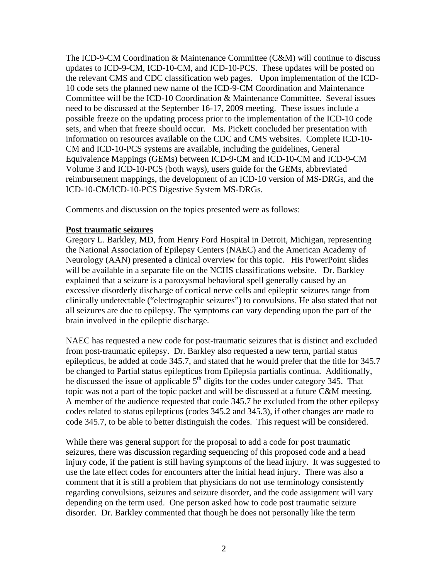The ICD-9-CM Coordination & Maintenance Committee (C&M) will continue to discuss updates to ICD-9-CM, ICD-10-CM, and ICD-10-PCS. These updates will be posted on the relevant CMS and CDC classification web pages. Upon implementation of the ICD-10 code sets the planned new name of the ICD-9-CM Coordination and Maintenance Committee will be the ICD-10 Coordination & Maintenance Committee. Several issues need to be discussed at the September 16-17, 2009 meeting. These issues include a possible freeze on the updating process prior to the implementation of the ICD-10 code sets, and when that freeze should occur. Ms. Pickett concluded her presentation with information on resources available on the CDC and CMS websites. Complete ICD-10- CM and ICD-10-PCS systems are available, including the guidelines, General Equivalence Mappings (GEMs) between ICD-9-CM and ICD-10-CM and ICD-9-CM Volume 3 and ICD-10-PCS (both ways), users guide for the GEMs, abbreviated reimbursement mappings, the development of an ICD-10 version of MS-DRGs, and the ICD-10-CM/ICD-10-PCS Digestive System MS-DRGs.

Comments and discussion on the topics presented were as follows:

## **Post traumatic seizures**

Gregory L. Barkley, MD, from Henry Ford Hospital in Detroit, Michigan, representing the National Association of Epilepsy Centers (NAEC) and the American Academy of Neurology (AAN) presented a clinical overview for this topic. His PowerPoint slides will be available in a separate file on the NCHS classifications website. Dr. Barkley explained that a seizure is a paroxysmal behavioral spell generally caused by an excessive disorderly discharge of cortical nerve cells and epileptic seizures range from clinically undetectable ("electrographic seizures") to convulsions. He also stated that not all seizures are due to epilepsy. The symptoms can vary depending upon the part of the brain involved in the epileptic discharge.

NAEC has requested a new code for post-traumatic seizures that is distinct and excluded from post-traumatic epilepsy. Dr. Barkley also requested a new term, partial status epilepticus, be added at code 345.7, and stated that he would prefer that the title for 345.7 be changed to Partial status epilepticus from Epilepsia partialis continua. Additionally, he discussed the issue of applicable  $5<sup>th</sup>$  digits for the codes under category 345. That topic was not a part of the topic packet and will be discussed at a future C&M meeting. A member of the audience requested that code 345.7 be excluded from the other epilepsy codes related to status epilepticus (codes 345.2 and 345.3), if other changes are made to code 345.7, to be able to better distinguish the codes. This request will be considered.

While there was general support for the proposal to add a code for post traumatic seizures, there was discussion regarding sequencing of this proposed code and a head injury code, if the patient is still having symptoms of the head injury. It was suggested to use the late effect codes for encounters after the initial head injury. There was also a comment that it is still a problem that physicians do not use terminology consistently regarding convulsions, seizures and seizure disorder, and the code assignment will vary depending on the term used. One person asked how to code post traumatic seizure disorder. Dr. Barkley commented that though he does not personally like the term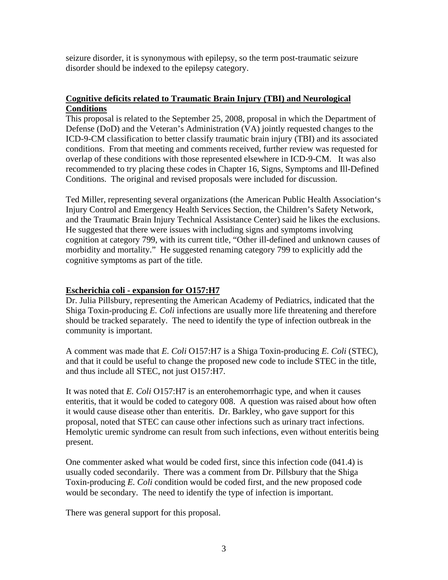seizure disorder, it is synonymous with epilepsy, so the term post-traumatic seizure disorder should be indexed to the epilepsy category.

# **Cognitive deficits related to Traumatic Brain Injury (TBI) and Neurological Conditions**

This proposal is related to the September 25, 2008, proposal in which the Department of Defense (DoD) and the Veteran's Administration (VA) jointly requested changes to the ICD-9-CM classification to better classify traumatic brain injury (TBI) and its associated conditions. From that meeting and comments received, further review was requested for overlap of these conditions with those represented elsewhere in ICD-9-CM. It was also recommended to try placing these codes in Chapter 16, Signs, Symptoms and Ill-Defined Conditions. The original and revised proposals were included for discussion.

Ted Miller, representing several organizations (the American Public Health Association's Injury Control and Emergency Health Services Section, the Children's Safety Network, and the Traumatic Brain Injury Technical Assistance Center) said he likes the exclusions. He suggested that there were issues with including signs and symptoms involving cognition at category 799, with its current title, "Other ill-defined and unknown causes of morbidity and mortality." He suggested renaming category 799 to explicitly add the cognitive symptoms as part of the title.

## **Escherichia coli - expansion for O157:H7**

Dr. Julia Pillsbury, representing the American Academy of Pediatrics, indicated that the Shiga Toxin-producing *E. Coli* infections are usually more life threatening and therefore should be tracked separately. The need to identify the type of infection outbreak in the community is important.

A comment was made that *E. Coli* O157:H7 is a Shiga Toxin-producing *E. Coli* (STEC), and that it could be useful to change the proposed new code to include STEC in the title, and thus include all STEC, not just O157:H7.

It was noted that *E. Coli* O157:H7 is an enterohemorrhagic type, and when it causes enteritis, that it would be coded to category 008. A question was raised about how often it would cause disease other than enteritis. Dr. Barkley, who gave support for this proposal, noted that STEC can cause other infections such as urinary tract infections. Hemolytic uremic syndrome can result from such infections, even without enteritis being present.

One commenter asked what would be coded first, since this infection code (041.4) is usually coded secondarily. There was a comment from Dr. Pillsbury that the Shiga Toxin-producing *E. Coli* condition would be coded first, and the new proposed code would be secondary. The need to identify the type of infection is important.

There was general support for this proposal.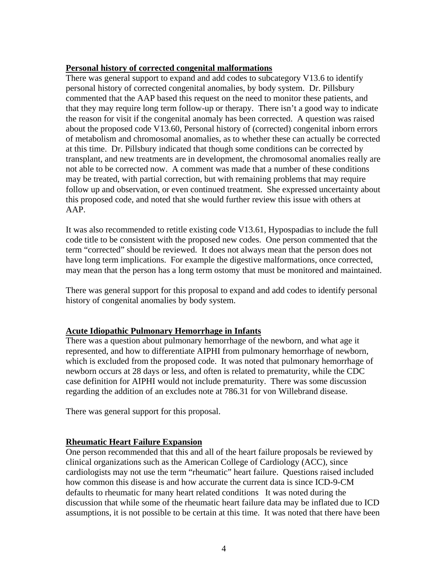## **Personal history of corrected congenital malformations**

There was general support to expand and add codes to subcategory V13.6 to identify personal history of corrected congenital anomalies, by body system. Dr. Pillsbury commented that the AAP based this request on the need to monitor these patients, and that they may require long term follow-up or therapy. There isn't a good way to indicate the reason for visit if the congenital anomaly has been corrected. A question was raised about the proposed code V13.60, Personal history of (corrected) congenital inborn errors of metabolism and chromosomal anomalies, as to whether these can actually be corrected at this time. Dr. Pillsbury indicated that though some conditions can be corrected by transplant, and new treatments are in development, the chromosomal anomalies really are not able to be corrected now. A comment was made that a number of these conditions may be treated, with partial correction, but with remaining problems that may require follow up and observation, or even continued treatment. She expressed uncertainty about this proposed code, and noted that she would further review this issue with others at AAP.

It was also recommended to retitle existing code V13.61, Hypospadias to include the full code title to be consistent with the proposed new codes. One person commented that the term "corrected" should be reviewed. It does not always mean that the person does not have long term implications. For example the digestive malformations, once corrected, may mean that the person has a long term ostomy that must be monitored and maintained.

There was general support for this proposal to expand and add codes to identify personal history of congenital anomalies by body system.

## **Acute Idiopathic Pulmonary Hemorrhage in Infants**

There was a question about pulmonary hemorrhage of the newborn, and what age it represented, and how to differentiate AIPHI from pulmonary hemorrhage of newborn, which is excluded from the proposed code. It was noted that pulmonary hemorrhage of newborn occurs at 28 days or less, and often is related to prematurity, while the CDC case definition for AIPHI would not include prematurity. There was some discussion regarding the addition of an excludes note at 786.31 for von Willebrand disease.

There was general support for this proposal.

## **Rheumatic Heart Failure Expansion**

One person recommended that this and all of the heart failure proposals be reviewed by clinical organizations such as the American College of Cardiology (ACC), since cardiologists may not use the term "rheumatic" heart failure. Questions raised included how common this disease is and how accurate the current data is since ICD-9-CM defaults to rheumatic for many heart related conditions It was noted during the discussion that while some of the rheumatic heart failure data may be inflated due to ICD assumptions, it is not possible to be certain at this time. It was noted that there have been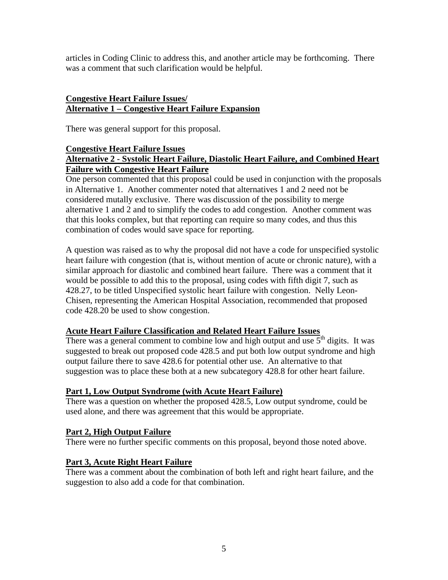articles in Coding Clinic to address this, and another article may be forthcoming. There was a comment that such clarification would be helpful.

# **Congestive Heart Failure Issues/ Alternative 1 – Congestive Heart Failure Expansion**

There was general support for this proposal.

# **Congestive Heart Failure Issues**

# **Alternative 2 - Systolic Heart Failure, Diastolic Heart Failure, and Combined Heart Failure with Congestive Heart Failure**

One person commented that this proposal could be used in conjunction with the proposals in Alternative 1. Another commenter noted that alternatives 1 and 2 need not be considered mutally exclusive. There was discussion of the possibility to merge alternative 1 and 2 and to simplify the codes to add congestion. Another comment was that this looks complex, but that reporting can require so many codes, and thus this combination of codes would save space for reporting.

A question was raised as to why the proposal did not have a code for unspecified systolic heart failure with congestion (that is, without mention of acute or chronic nature), with a similar approach for diastolic and combined heart failure. There was a comment that it would be possible to add this to the proposal, using codes with fifth digit 7, such as 428.27, to be titled Unspecified systolic heart failure with congestion. Nelly Leon-Chisen, representing the American Hospital Association, recommended that proposed code 428.20 be used to show congestion.

## **Acute Heart Failure Classification and Related Heart Failure Issues**

There was a general comment to combine low and high output and use  $5<sup>th</sup>$  digits. It was suggested to break out proposed code 428.5 and put both low output syndrome and high output failure there to save 428.6 for potential other use. An alternative to that suggestion was to place these both at a new subcategory 428.8 for other heart failure.

# **Part 1, Low Output Syndrome (with Acute Heart Failure)**

There was a question on whether the proposed 428.5, Low output syndrome, could be used alone, and there was agreement that this would be appropriate.

# **Part 2, High Output Failure**

There were no further specific comments on this proposal, beyond those noted above.

# **Part 3, Acute Right Heart Failure**

There was a comment about the combination of both left and right heart failure, and the suggestion to also add a code for that combination.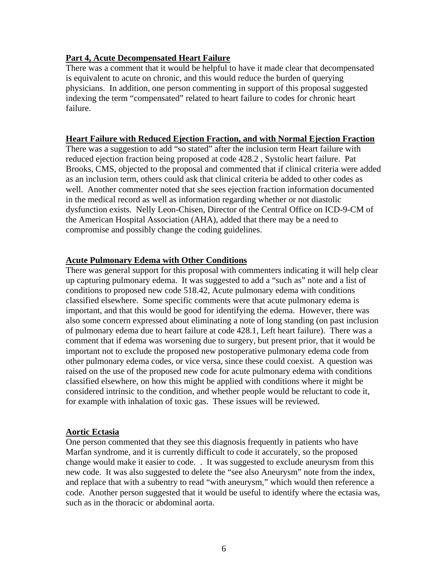## **Part 4, Acute Decompensated Heart Failure**

There was a comment that it would be helpful to have it made clear that decompensated is equivalent to acute on chronic, and this would reduce the burden of querying physicians. In addition, one person commenting in support of this proposal suggested indexing the term "compensated" related to heart failure to codes for chronic heart failure.

#### **Heart Failure with Reduced Ejection Fraction, and with Normal Ejection Fraction**

There was a suggestion to add "so stated" after the inclusion term Heart failure with reduced ejection fraction being proposed at code 428.2 , Systolic heart failure. Pat Brooks, CMS, objected to the proposal and commented that if clinical criteria were added as an inclusion term, others could ask that clinical criteria be added to other codes as well. Another commenter noted that she sees ejection fraction information documented in the medical record as well as information regarding whether or not diastolic dysfunction exists. Nelly Leon-Chisen, Director of the Central Office on ICD-9-CM of the American Hospital Association (AHA), added that there may be a need to compromise and possibly change the coding guidelines.

## **Acute Pulmonary Edema with Other Conditions**

There was general support for this proposal with commenters indicating it will help clear up capturing pulmonary edema. It was suggested to add a "such as" note and a list of conditions to proposed new code 518.42, Acute pulmonary edema with conditions classified elsewhere. Some specific comments were that acute pulmonary edema is important, and that this would be good for identifying the edema. However, there was also some concern expressed about eliminating a note of long standing (on past inclusion of pulmonary edema due to heart failure at code 428.1, Left heart failure). There was a comment that if edema was worsening due to surgery, but present prior, that it would be important not to exclude the proposed new postoperative pulmonary edema code from other pulmonary edema codes, or vice versa, since these could coexist. A question was raised on the use of the proposed new code for acute pulmonary edema with conditions classified elsewhere, on how this might be applied with conditions where it might be considered intrinsic to the condition, and whether people would be reluctant to code it, for example with inhalation of toxic gas. These issues will be reviewed.

## **Aortic Ectasia**

One person commented that they see this diagnosis frequently in patients who have Marfan syndrome, and it is currently difficult to code it accurately, so the proposed change would make it easier to code. . It was suggested to exclude aneurysm from this new code. It was also suggested to delete the "see also Aneurysm" note from the index, and replace that with a subentry to read "with aneurysm," which would then reference a code. Another person suggested that it would be useful to identify where the ectasia was, such as in the thoracic or abdominal aorta.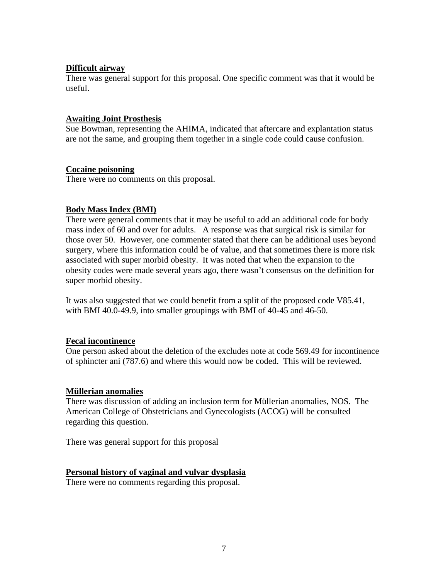## **Difficult airway**

There was general support for this proposal. One specific comment was that it would be useful.

## **Awaiting Joint Prosthesis**

Sue Bowman, representing the AHIMA, indicated that aftercare and explantation status are not the same, and grouping them together in a single code could cause confusion.

## **Cocaine poisoning**

There were no comments on this proposal.

## **Body Mass Index (BMI)**

There were general comments that it may be useful to add an additional code for body mass index of 60 and over for adults. A response was that surgical risk is similar for those over 50. However, one commenter stated that there can be additional uses beyond surgery, where this information could be of value, and that sometimes there is more risk associated with super morbid obesity. It was noted that when the expansion to the obesity codes were made several years ago, there wasn't consensus on the definition for super morbid obesity.

It was also suggested that we could benefit from a split of the proposed code V85.41, with BMI 40.0-49.9, into smaller groupings with BMI of 40-45 and 46-50.

# **Fecal incontinence**

One person asked about the deletion of the excludes note at code 569.49 for incontinence of sphincter ani (787.6) and where this would now be coded. This will be reviewed.

## **Müllerian anomalies**

There was discussion of adding an inclusion term for Müllerian anomalies, NOS. The American College of Obstetricians and Gynecologists (ACOG) will be consulted regarding this question.

There was general support for this proposal

## **Personal history of vaginal and vulvar dysplasia**

There were no comments regarding this proposal.